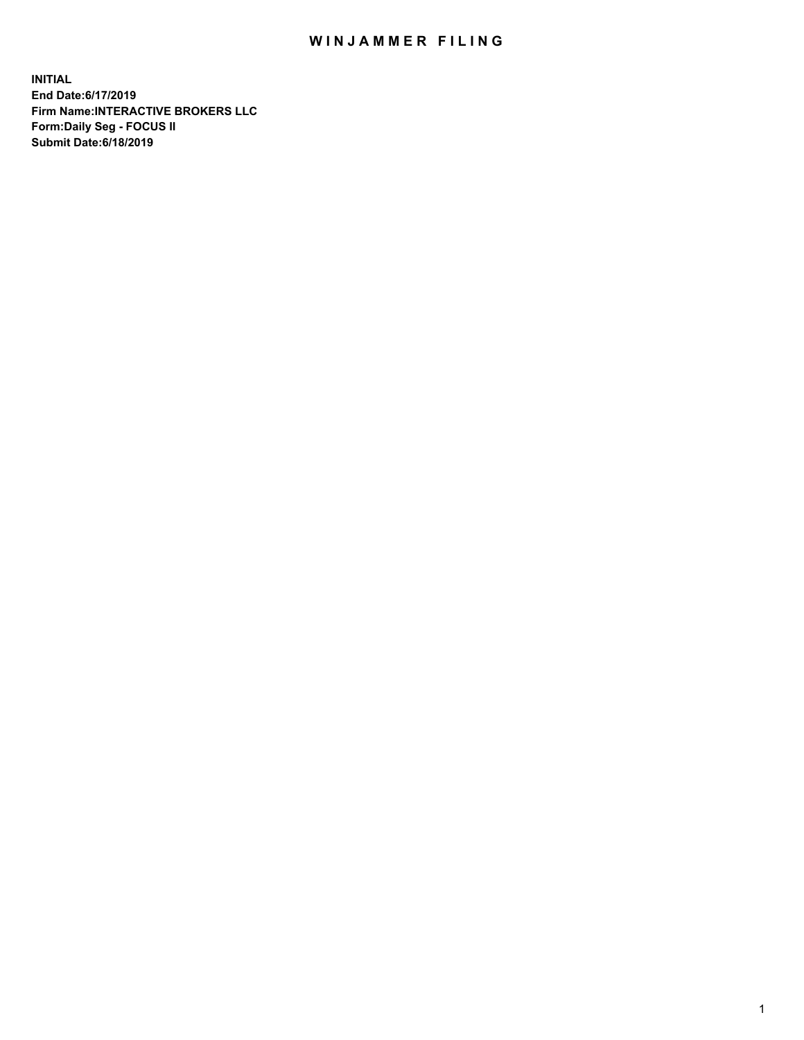## WIN JAMMER FILING

**INITIAL End Date:6/17/2019 Firm Name:INTERACTIVE BROKERS LLC Form:Daily Seg - FOCUS II Submit Date:6/18/2019**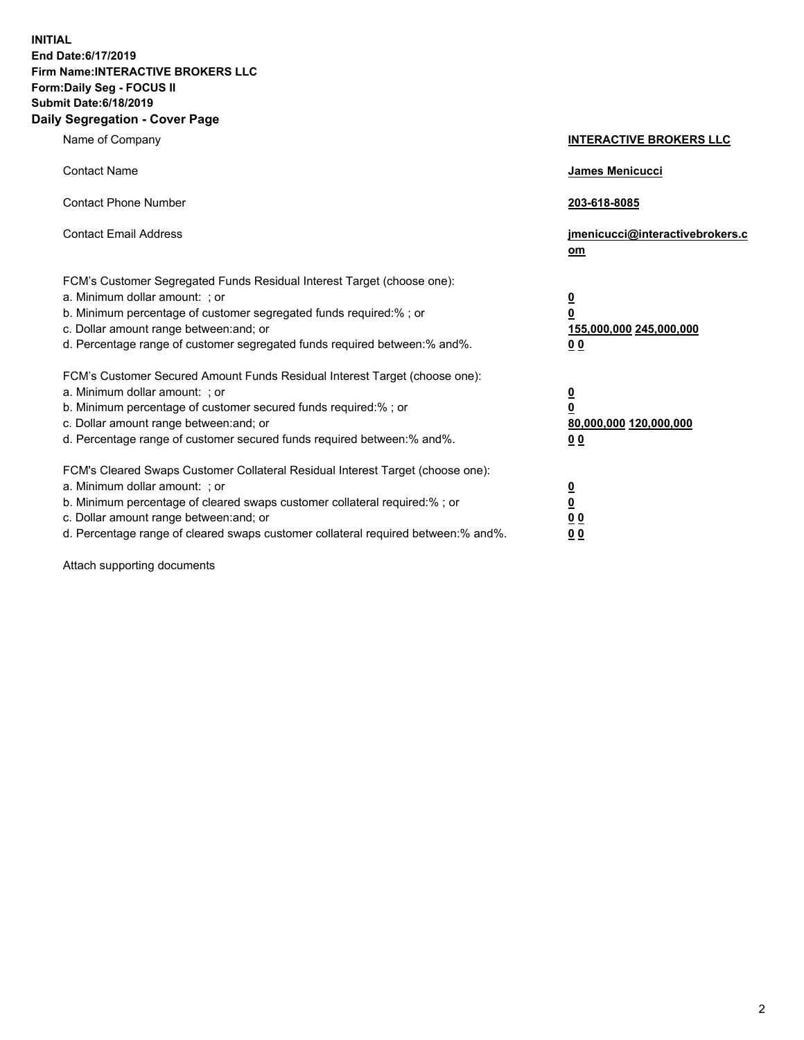**INITIAL End Date:6/17/2019 Firm Name:INTERACTIVE BROKERS LLC Form:Daily Seg - FOCUS II Submit Date:6/18/2019 Daily Segregation - Cover Page**

| Name of Company                                                                                                                                                                                                                                                                                                                | <b>INTERACTIVE BROKERS LLC</b>                                                                  |
|--------------------------------------------------------------------------------------------------------------------------------------------------------------------------------------------------------------------------------------------------------------------------------------------------------------------------------|-------------------------------------------------------------------------------------------------|
| <b>Contact Name</b>                                                                                                                                                                                                                                                                                                            | James Menicucci                                                                                 |
| <b>Contact Phone Number</b>                                                                                                                                                                                                                                                                                                    | 203-618-8085                                                                                    |
| <b>Contact Email Address</b>                                                                                                                                                                                                                                                                                                   | jmenicucci@interactivebrokers.c<br>om                                                           |
| FCM's Customer Segregated Funds Residual Interest Target (choose one):<br>a. Minimum dollar amount: ; or<br>b. Minimum percentage of customer segregated funds required:% ; or<br>c. Dollar amount range between: and; or<br>d. Percentage range of customer segregated funds required between:% and%.                         | $\overline{\mathbf{0}}$<br>$\overline{\mathbf{0}}$<br>155,000,000 245,000,000<br>0 <sub>0</sub> |
| FCM's Customer Secured Amount Funds Residual Interest Target (choose one):<br>a. Minimum dollar amount: ; or<br>b. Minimum percentage of customer secured funds required:% ; or<br>c. Dollar amount range between: and; or<br>d. Percentage range of customer secured funds required between:% and%.                           | $\overline{\mathbf{0}}$<br>0<br>80,000,000 120,000,000<br>0 <sub>0</sub>                        |
| FCM's Cleared Swaps Customer Collateral Residual Interest Target (choose one):<br>a. Minimum dollar amount: ; or<br>b. Minimum percentage of cleared swaps customer collateral required:% ; or<br>c. Dollar amount range between: and; or<br>d. Percentage range of cleared swaps customer collateral required between:% and%. | $\overline{\mathbf{0}}$<br><u>0</u><br>$\underline{0}$ $\underline{0}$<br>00                    |

Attach supporting documents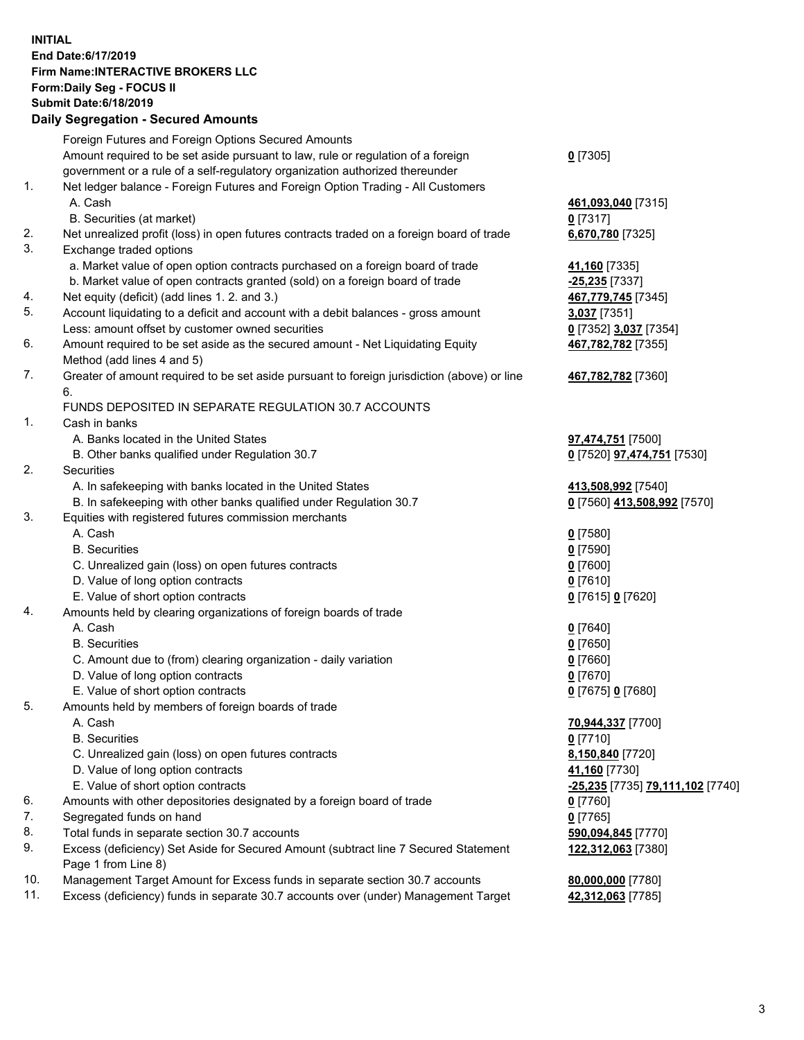## **INITIAL End Date:6/17/2019 Firm Name:INTERACTIVE BROKERS LLC Form:Daily Seg - FOCUS II Submit Date:6/18/2019 Daily Segregation - Secured Amounts**

|                | Daily Ocglegation - Occuled Aniounts                                                                       |                                                      |
|----------------|------------------------------------------------------------------------------------------------------------|------------------------------------------------------|
|                | Foreign Futures and Foreign Options Secured Amounts                                                        |                                                      |
|                | Amount required to be set aside pursuant to law, rule or regulation of a foreign                           | $0$ [7305]                                           |
|                | government or a rule of a self-regulatory organization authorized thereunder                               |                                                      |
| $\mathbf{1}$ . | Net ledger balance - Foreign Futures and Foreign Option Trading - All Customers                            |                                                      |
|                | A. Cash                                                                                                    | 461,093,040 [7315]                                   |
|                | B. Securities (at market)                                                                                  | $0$ [7317]                                           |
| 2.             | Net unrealized profit (loss) in open futures contracts traded on a foreign board of trade                  | 6,670,780 [7325]                                     |
| 3.             | Exchange traded options                                                                                    |                                                      |
|                | a. Market value of open option contracts purchased on a foreign board of trade                             | 41,160 [7335]                                        |
|                | b. Market value of open contracts granted (sold) on a foreign board of trade                               | -25,235 [7337]                                       |
| 4.             | Net equity (deficit) (add lines 1.2. and 3.)                                                               | 467,779,745 [7345]                                   |
| 5.             | Account liquidating to a deficit and account with a debit balances - gross amount                          | 3,037 [7351]                                         |
|                | Less: amount offset by customer owned securities                                                           | 0 [7352] 3,037 [7354]                                |
| 6.             | Amount required to be set aside as the secured amount - Net Liquidating Equity                             | 467,782,782 [7355]                                   |
|                | Method (add lines 4 and 5)                                                                                 |                                                      |
| 7.             | Greater of amount required to be set aside pursuant to foreign jurisdiction (above) or line                | 467,782,782 [7360]                                   |
|                | 6.                                                                                                         |                                                      |
| $\mathbf{1}$ . | FUNDS DEPOSITED IN SEPARATE REGULATION 30.7 ACCOUNTS                                                       |                                                      |
|                | Cash in banks<br>A. Banks located in the United States                                                     |                                                      |
|                |                                                                                                            | 97,474,751 [7500]                                    |
| 2.             | B. Other banks qualified under Regulation 30.7                                                             | 0 [7520] 97,474,751 [7530]                           |
|                | Securities                                                                                                 |                                                      |
|                | A. In safekeeping with banks located in the United States                                                  | 413,508,992 [7540]                                   |
| 3.             | B. In safekeeping with other banks qualified under Regulation 30.7                                         | 0 [7560] 413,508,992 [7570]                          |
|                | Equities with registered futures commission merchants                                                      |                                                      |
|                | A. Cash                                                                                                    | $0$ [7580]                                           |
|                | <b>B.</b> Securities                                                                                       | $0$ [7590]                                           |
|                | C. Unrealized gain (loss) on open futures contracts                                                        | $0$ [7600]                                           |
|                | D. Value of long option contracts                                                                          | $0$ [7610]                                           |
| 4.             | E. Value of short option contracts                                                                         | 0 [7615] 0 [7620]                                    |
|                | Amounts held by clearing organizations of foreign boards of trade                                          |                                                      |
|                | A. Cash                                                                                                    | $0$ [7640]                                           |
|                | <b>B.</b> Securities                                                                                       | $0$ [7650]                                           |
|                | C. Amount due to (from) clearing organization - daily variation                                            | $0$ [7660]                                           |
|                | D. Value of long option contracts                                                                          | $0$ [7670]                                           |
|                | E. Value of short option contracts                                                                         | 0 [7675] 0 [7680]                                    |
| 5.             | Amounts held by members of foreign boards of trade                                                         |                                                      |
|                | A. Cash<br><b>B.</b> Securities                                                                            | 70,944,337 [7700]                                    |
|                |                                                                                                            | $0$ [7710]                                           |
|                | C. Unrealized gain (loss) on open futures contracts                                                        | 8,150,840 [7720]                                     |
|                | D. Value of long option contracts                                                                          | 41,160 [7730]                                        |
|                | E. Value of short option contracts                                                                         | <u>-25,235</u> [7735] <mark>79,111,102</mark> [7740] |
| 6.             | Amounts with other depositories designated by a foreign board of trade                                     | 0 [7760]                                             |
| 7.             | Segregated funds on hand                                                                                   | $0$ [7765]                                           |
| 8.             | Total funds in separate section 30.7 accounts                                                              | 590,094,845 [7770]                                   |
| 9.             | Excess (deficiency) Set Aside for Secured Amount (subtract line 7 Secured Statement<br>Page 1 from Line 8) | 122,312,063 [7380]                                   |
| 10.            | Management Target Amount for Excess funds in separate section 30.7 accounts                                | 80,000,000 [7780]                                    |
| 11.            | Excess (deficiency) funds in separate 30.7 accounts over (under) Management Target                         | 42,312,063 [7785]                                    |
|                |                                                                                                            |                                                      |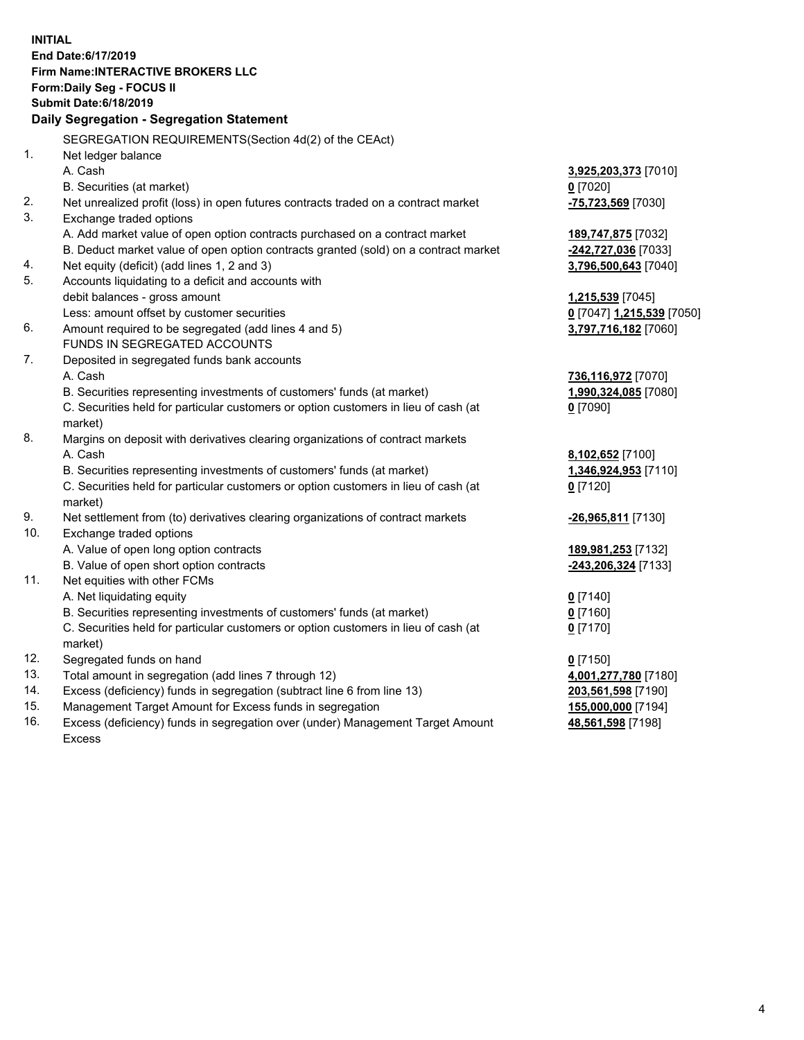**INITIAL End Date:6/17/2019 Firm Name:INTERACTIVE BROKERS LLC Form:Daily Seg - FOCUS II Submit Date:6/18/2019 Daily Segregation - Segregation Statement** SEGREGATION REQUIREMENTS(Section 4d(2) of the CEAct) 1. Net ledger balance A. Cash **3,925,203,373** [7010] B. Securities (at market) **0** [7020] 2. Net unrealized profit (loss) in open futures contracts traded on a contract market **-75,723,569** [7030] 3. Exchange traded options A. Add market value of open option contracts purchased on a contract market **189,747,875** [7032] B. Deduct market value of open option contracts granted (sold) on a contract market **-242,727,036** [7033] 4. Net equity (deficit) (add lines 1, 2 and 3) **3,796,500,643** [7040] 5. Accounts liquidating to a deficit and accounts with debit balances - gross amount **1,215,539** [7045] Less: amount offset by customer securities **0** [7047] **1,215,539** [7050] 6. Amount required to be segregated (add lines 4 and 5) **3,797,716,182** [7060] FUNDS IN SEGREGATED ACCOUNTS 7. Deposited in segregated funds bank accounts A. Cash **736,116,972** [7070] B. Securities representing investments of customers' funds (at market) **1,990,324,085** [7080] C. Securities held for particular customers or option customers in lieu of cash (at market) **0** [7090] 8. Margins on deposit with derivatives clearing organizations of contract markets A. Cash **8,102,652** [7100] B. Securities representing investments of customers' funds (at market) **1,346,924,953** [7110] C. Securities held for particular customers or option customers in lieu of cash (at market) **0** [7120] 9. Net settlement from (to) derivatives clearing organizations of contract markets **-26,965,811** [7130] 10. Exchange traded options A. Value of open long option contracts **189,981,253** [7132] B. Value of open short option contracts **-243,206,324** [7133] 11. Net equities with other FCMs A. Net liquidating equity **0** [7140] B. Securities representing investments of customers' funds (at market) **0** [7160] C. Securities held for particular customers or option customers in lieu of cash (at market) **0** [7170] 12. Segregated funds on hand **0** [7150] 13. Total amount in segregation (add lines 7 through 12) **4,001,277,780** [7180] 14. Excess (deficiency) funds in segregation (subtract line 6 from line 13) **203,561,598** [7190] 15. Management Target Amount for Excess funds in segregation **155,000,000** [7194]

16. Excess (deficiency) funds in segregation over (under) Management Target Amount Excess

**48,561,598** [7198]